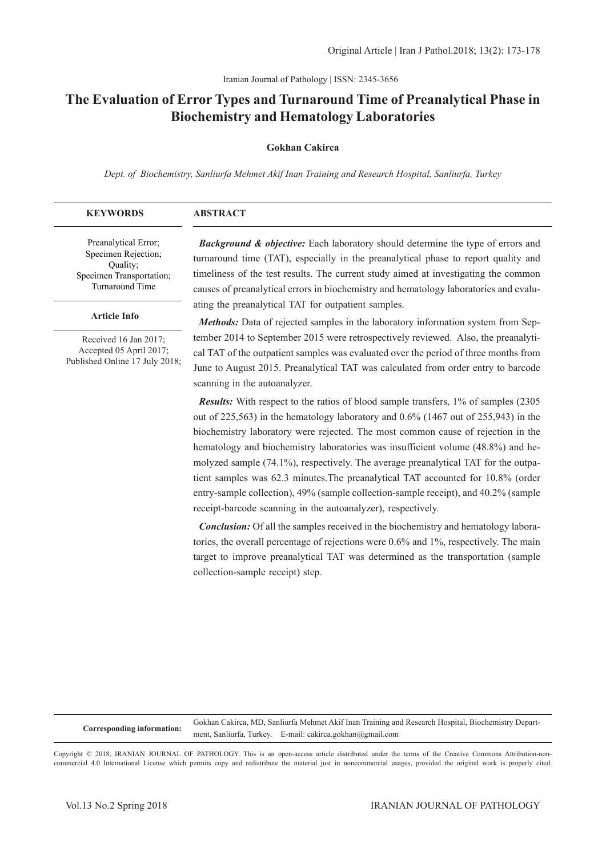Iranian Journal of Pathology | ISSN: 2345-3656

# **The Evaluation of Error Types and Turnaround Time of Preanalytical Phase in Biochemistry and Hematology Laboratories**

#### **Gokhan Cakirca**

*Dept. of Biochemistry, Sanliurfa Mehmet Akif Inan Training and Research Hospital, Sanliurfa, Turkey*

| <b>KEYWORDS</b>                                                                     | <b>ABSTRACT</b>                                                                                                                                                                                                                                                         |
|-------------------------------------------------------------------------------------|-------------------------------------------------------------------------------------------------------------------------------------------------------------------------------------------------------------------------------------------------------------------------|
| Preanalytical Error;<br>Specimen Rejection;<br>Ouality;<br>Specimen Transportation; | <b>Background &amp; objective:</b> Each laboratory should determine the type of errors and<br>turnaround time (TAT), especially in the preanalytical phase to report quality and<br>timeliness of the test results. The current study aimed at investigating the common |
| Turnaround Time                                                                     | couses of preanalytical errors in higghermistry and hematology laboratories and evalu-                                                                                                                                                                                  |

#### **Article Info**

Received 16 Jan 2017; Accepted 05 April 2017; Published Online 17 July 2018; causes of preanalytical errors in biochemistry and hematology laboratories and evaluating the preanalytical TAT for outpatient samples.

*Methods:* Data of rejected samples in the laboratory information system from September 2014 to September 2015 were retrospectively reviewed. Also, the preanalytical TAT of the outpatient samples was evaluated over the period of three months from June to August 2015. Preanalytical TAT was calculated from order entry to barcode scanning in the autoanalyzer.

*Results:* With respect to the ratios of blood sample transfers, 1% of samples (2305 out of 225,563) in the hematology laboratory and 0.6% (1467 out of 255,943) in the biochemistry laboratory were rejected. The most common cause of rejection in the hematology and biochemistry laboratories was insufficient volume (48.8%) and hemolyzed sample (74.1%), respectively. The average preanalytical TAT for the outpatient samples was 62.3 minutes.The preanalytical TAT accounted for 10.8% (order entry-sample collection), 49% (sample collection-sample receipt), and 40.2% (sample receipt-barcode scanning in the autoanalyzer), respectively.

*Conclusion:* Of all the samples received in the biochemistry and hematology laboratories, the overall percentage of rejections were 0.6% and 1%, respectively. The main target to improve preanalytical TAT was determined as the transportation (sample collection-sample receipt) step.

**Corresponding information:** Gokhan Cakirca, MD, Sanliurfa Mehmet Akif Inan Training and Research Hospital, Biochemistry Department, Sanliurfa, Turkey. E-mail: cakirca.gokhan@gmail.com

Copyright © 2018, IRANIAN JOURNAL OF PATHOLOGY. This is an open-access article distributed under the terms of the Creative Commons Attribution-noncommercial 4.0 International License which permits copy and redistribute the material just in noncommercial usages, provided the original work is properly cited.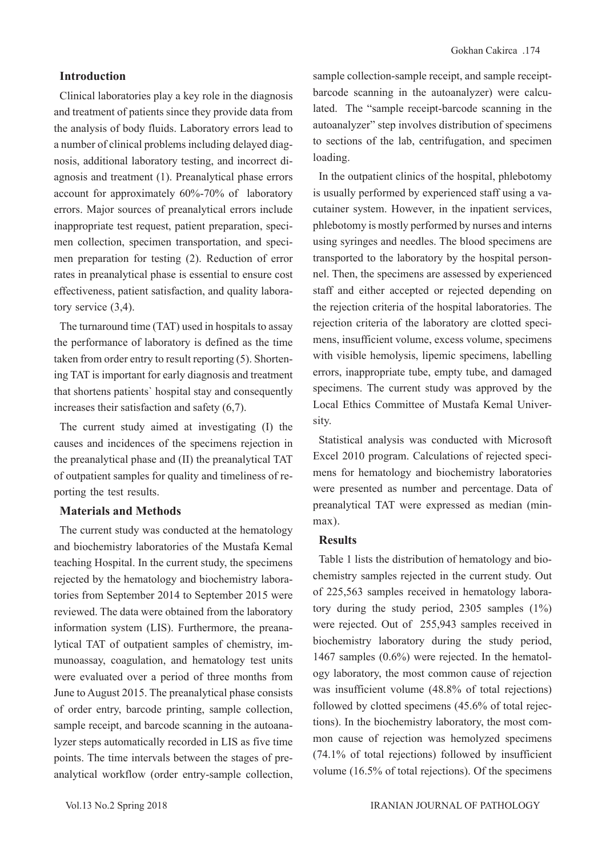### **Introduction**

Clinical laboratories play a key role in the diagnosis and treatment of patients since they provide data from the analysis of body fluids. Laboratory errors lead to a number of clinical problems including delayed diagnosis, additional laboratory testing, and incorrect diagnosis and treatment (1). Preanalytical phase errors account for approximately 60%-70% of laboratory errors. Major sources of preanalytical errors include inappropriate test request, patient preparation, specimen collection, specimen transportation, and specimen preparation for testing (2). Reduction of error rates in preanalytical phase is essential to ensure cost effectiveness, patient satisfaction, and quality laboratory service (3,4).

The turnaround time (TAT) used in hospitals to assay the performance of laboratory is defined as the time taken from order entry to result reporting (5). Shortening TAT is important for early diagnosis and treatment that shortens patients` hospital stay and consequently increases their satisfaction and safety (6,7).

The current study aimed at investigating (I) the causes and incidences of the specimens rejection in the preanalytical phase and (II) the preanalytical TAT of outpatient samples for quality and timeliness of reporting the test results.

#### **Materials and Methods**

The current study was conducted at the hematology and biochemistry laboratories of the Mustafa Kemal teaching Hospital. In the current study, the specimens rejected by the hematology and biochemistry laboratories from September 2014 to September 2015 were reviewed. The data were obtained from the laboratory information system (LIS). Furthermore, the preanalytical TAT of outpatient samples of chemistry, immunoassay, coagulation, and hematology test units were evaluated over a period of three months from June to August 2015. The preanalytical phase consists of order entry, barcode printing, sample collection, sample receipt, and barcode scanning in the autoanalyzer steps automatically recorded in LIS as five time points. The time intervals between the stages of preanalytical workflow (order entry-sample collection, sample collection-sample receipt, and sample receiptbarcode scanning in the autoanalyzer) were calculated. The "sample receipt-barcode scanning in the autoanalyzer" step involves distribution of specimens to sections of the lab, centrifugation, and specimen loading.

In the outpatient clinics of the hospital, phlebotomy is usually performed by experienced staff using a vacutainer system. However, in the inpatient services, phlebotomy is mostly performed by nurses and interns using syringes and needles. The blood specimens are transported to the laboratory by the hospital personnel. Then, the specimens are assessed by experienced staff and either accepted or rejected depending on the rejection criteria of the hospital laboratories. The rejection criteria of the laboratory are clotted specimens, insufficient volume, excess volume, specimens with visible hemolysis, lipemic specimens, labelling errors, inappropriate tube, empty tube, and damaged specimens. The current study was approved by the Local Ethics Committee of Mustafa Kemal University.

Statistical analysis was conducted with Microsoft Excel 2010 program. Calculations of rejected specimens for hematology and biochemistry laboratories were presented as number and percentage. Data of preanalytical TAT were expressed as median (minmax).

#### **Results**

Table 1 lists the distribution of hematology and biochemistry samples rejected in the current study. Out of 225,563 samples received in hematology laboratory during the study period, 2305 samples (1%) were rejected. Out of 255,943 samples received in biochemistry laboratory during the study period, 1467 samples (0.6%) were rejected. In the hematology laboratory, the most common cause of rejection was insufficient volume (48.8% of total rejections) followed by clotted specimens (45.6% of total rejections). In the biochemistry laboratory, the most common cause of rejection was hemolyzed specimens (74.1% of total rejections) followed by insufficient volume (16.5% of total rejections). Of the specimens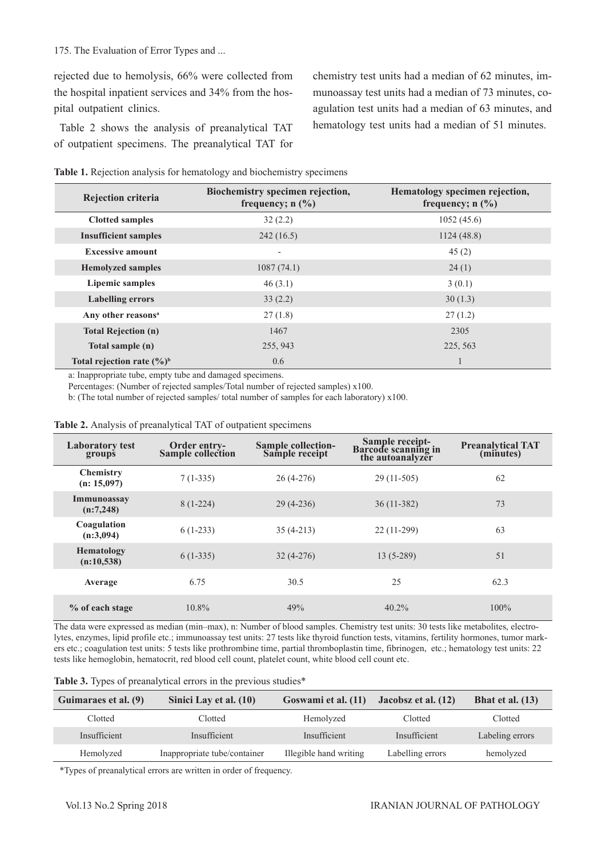#### 175. The Evaluation of Error Types and ...

rejected due to hemolysis, 66% were collected from the hospital inpatient services and 34% from the hospital outpatient clinics.

Table 2 shows the analysis of preanalytical TAT of outpatient specimens. The preanalytical TAT for chemistry test units had a median of 62 minutes, immunoassay test units had a median of 73 minutes, coagulation test units had a median of 63 minutes, and hematology test units had a median of 51 minutes.

|  | Table 1. Rejection analysis for hematology and biochemistry specimens |  |  |
|--|-----------------------------------------------------------------------|--|--|
|  |                                                                       |  |  |

| <b>Rejection criteria</b>              | Biochemistry specimen rejection,<br>frequency; $n$ $(\%)$ | Hematology specimen rejection,<br>frequency; $n$ $(\frac{6}{6})$ |  |
|----------------------------------------|-----------------------------------------------------------|------------------------------------------------------------------|--|
| <b>Clotted samples</b>                 | 32(2.2)                                                   | 1052(45.6)                                                       |  |
| <b>Insufficient samples</b>            | 242(16.5)                                                 | 1124(48.8)                                                       |  |
| <b>Excessive amount</b>                | $\overline{\phantom{0}}$                                  | 45(2)                                                            |  |
| <b>Hemolyzed samples</b>               | 1087(74.1)                                                | 24(1)                                                            |  |
| <b>Lipemic samples</b>                 | 46(3.1)                                                   | 3(0.1)                                                           |  |
| <b>Labelling errors</b>                | 33(2.2)                                                   | 30(1.3)                                                          |  |
| Any other reasons <sup>a</sup>         | 27(1.8)                                                   | 27(1.2)                                                          |  |
| <b>Total Rejection (n)</b>             | 1467                                                      | 2305                                                             |  |
| Total sample (n)                       | 255, 943                                                  | 225, 563                                                         |  |
| Total rejection rate $(\frac{6}{6})^b$ | 0.6                                                       |                                                                  |  |

a: Inappropriate tube, empty tube and damaged specimens.

Percentages: (Number of rejected samples/Total number of rejected samples) x100.

b: (The total number of rejected samples/ total number of samples for each laboratory) x100.

|  |  | <b>Table 2.</b> Analysis of preanalytical TAT of outpatient specimens |  |
|--|--|-----------------------------------------------------------------------|--|
|  |  |                                                                       |  |

| <b>Laboratory test</b><br>groups | <b>Order entry-</b><br>Sample collection | <b>Sample collection-</b><br>Sample receipt | Sample receipt-<br><b>Barcode scanning in</b><br>the autoanalyzer | <b>Preanalytical TAT</b><br>(minutes) |
|----------------------------------|------------------------------------------|---------------------------------------------|-------------------------------------------------------------------|---------------------------------------|
| <b>Chemistry</b><br>(n: 15,097)  | $7(1-335)$                               | $26(4-276)$                                 | $29(11-505)$                                                      | 62                                    |
| Immunoassay<br>(n:7,248)         | $8(1-224)$                               | $29(4-236)$                                 | $36(11-382)$                                                      | 73                                    |
| Coagulation<br>(n:3,094)         | $6(1-233)$                               | $35(4-213)$                                 | $22(11-299)$                                                      | 63                                    |
| Hematology<br>(n:10,538)         | $6(1-335)$                               | $32(4-276)$                                 | $13(5-289)$                                                       | 51                                    |
| Average                          | 6.75                                     | 30.5                                        | 25                                                                | 62.3                                  |
| % of each stage                  | $10.8\%$                                 | 49%                                         | $40.2\%$                                                          | 100%                                  |

The data were expressed as median (min–max), n: Number of blood samples. Chemistry test units: 30 tests like metabolites, electrolytes, enzymes, lipid profile etc.; immunoassay test units: 27 tests like thyroid function tests, vitamins, fertility hormones, tumor markers etc.; coagulation test units: 5 tests like prothrombine time, partial thromboplastin time, fibrinogen, etc.; hematology test units: 22 tests like hemoglobin, hematocrit, red blood cell count, platelet count, white blood cell count etc.

|  |  |  |  | Table 3. Types of preanalytical errors in the previous studies* |  |  |  |
|--|--|--|--|-----------------------------------------------------------------|--|--|--|
|--|--|--|--|-----------------------------------------------------------------|--|--|--|

| Guimaraes et al. (9) | Sinici Lay et al. (10)       | Goswami et al. (11)    | Jacobsz et al. (12) | Bhat et al. $(13)$ |
|----------------------|------------------------------|------------------------|---------------------|--------------------|
| Clotted              | Clotted                      | Hemolyzed              | Clotted             | Clotted            |
| Insufficient         | Insufficient                 | Insufficient           | Insufficient        | Labeling errors    |
| Hemolyzed            | Inappropriate tube/container | Illegible hand writing | Labelling errors    | hemolyzed          |

\*Types of preanalytical errors are written in order of frequency.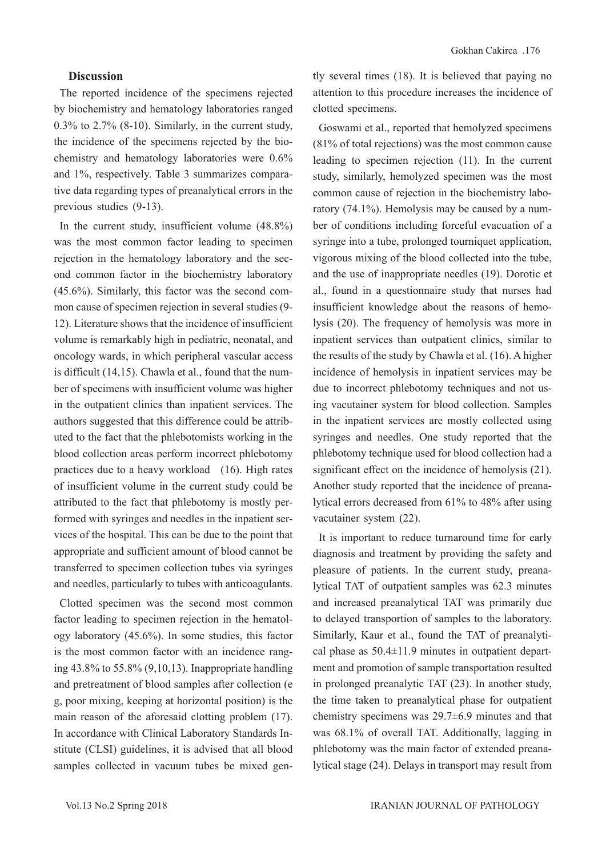### **Discussion**

The reported incidence of the specimens rejected by biochemistry and hematology laboratories ranged 0.3% to 2.7% (8-10). Similarly, in the current study, the incidence of the specimens rejected by the biochemistry and hematology laboratories were 0.6% and 1%, respectively. Table 3 summarizes comparative data regarding types of preanalytical errors in the previous studies (9-13).

In the current study, insufficient volume (48.8%) was the most common factor leading to specimen rejection in the hematology laboratory and the second common factor in the biochemistry laboratory (45.6%). Similarly, this factor was the second common cause of specimen rejection in several studies (9- 12). Literature shows that the incidence of insufficient volume is remarkably high in pediatric, neonatal, and oncology wards, in which peripheral vascular access is difficult (14,15). Chawla et al., found that the number of specimens with insufficient volume was higher in the outpatient clinics than inpatient services. The authors suggested that this difference could be attributed to the fact that the phlebotomists working in the blood collection areas perform incorrect phlebotomy practices due to a heavy workload (16). High rates of insufficient volume in the current study could be attributed to the fact that phlebotomy is mostly performed with syringes and needles in the inpatient services of the hospital. This can be due to the point that appropriate and sufficient amount of blood cannot be transferred to specimen collection tubes via syringes and needles, particularly to tubes with anticoagulants.

Clotted specimen was the second most common factor leading to specimen rejection in the hematology laboratory (45.6%). In some studies, this factor is the most common factor with an incidence ranging 43.8% to 55.8% (9,10,13). Inappropriate handling and pretreatment of blood samples after collection (e g, poor mixing, keeping at horizontal position) is the main reason of the aforesaid clotting problem (17). In accordance with Clinical Laboratory Standards Institute (CLSI) guidelines, it is advised that all blood samples collected in vacuum tubes be mixed gently several times (18). It is believed that paying no attention to this procedure increases the incidence of clotted specimens.

Goswami et al., reported that hemolyzed specimens (81% of total rejections) was the most common cause leading to specimen rejection (11). In the current study, similarly, hemolyzed specimen was the most common cause of rejection in the biochemistry laboratory (74.1%). Hemolysis may be caused by a number of conditions including forceful evacuation of a syringe into a tube, prolonged tourniquet application, vigorous mixing of the blood collected into the tube, and the use of inappropriate needles (19). Dorotic et al., found in a questionnaire study that nurses had insufficient knowledge about the reasons of hemolysis (20). The frequency of hemolysis was more in inpatient services than outpatient clinics, similar to the results of the study by Chawla et al. (16). A higher incidence of hemolysis in inpatient services may be due to incorrect phlebotomy techniques and not using vacutainer system for blood collection. Samples in the inpatient services are mostly collected using syringes and needles. One study reported that the phlebotomy technique used for blood collection had a significant effect on the incidence of hemolysis (21). Another study reported that the incidence of preanalytical errors decreased from 61% to 48% after using vacutainer system (22).

It is important to reduce turnaround time for early diagnosis and treatment by providing the safety and pleasure of patients. In the current study, preanalytical TAT of outpatient samples was 62.3 minutes and increased preanalytical TAT was primarily due to delayed transportion of samples to the laboratory. Similarly, Kaur et al., found the TAT of preanalytical phase as  $50.4 \pm 11.9$  minutes in outpatient department and promotion of sample transportation resulted in prolonged preanalytic TAT (23). In another study, the time taken to preanalytical phase for outpatient chemistry specimens was 29.7±6.9 minutes and that was 68.1% of overall TAT. Additionally, lagging in phlebotomy was the main factor of extended preanalytical stage (24). Delays in transport may result from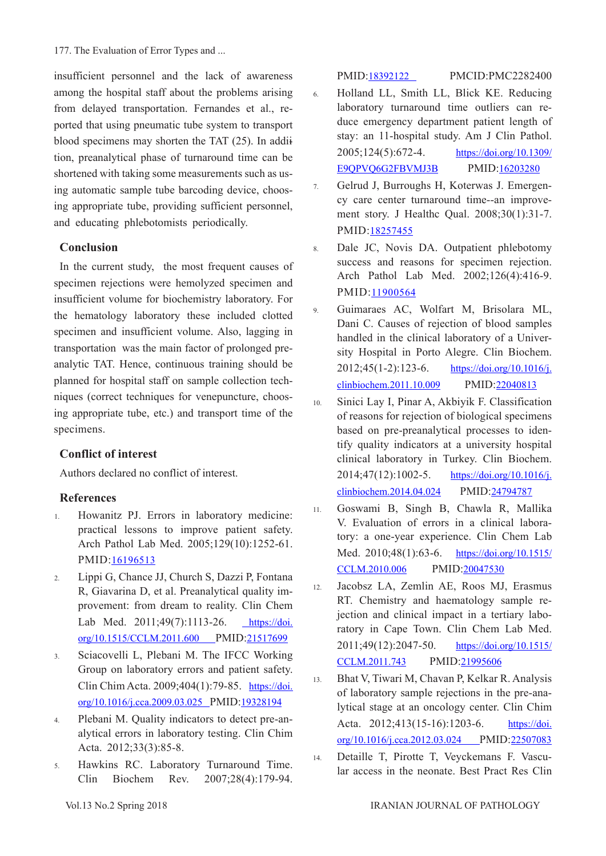177. The Evaluation of Error Types and ...

insufficient personnel and the lack of awareness among the hospital staff about the problems arising from delayed transportation. Fernandes et al., reported that using pneumatic tube system to transport blood specimens may shorten the TAT (25). In addiition, preanalytical phase of turnaround time can be shortened with taking some measurements such as using automatic sample tube barcoding device, choosing appropriate tube, providing sufficient personnel, and educating phlebotomists periodically.

## **Conclusion**

In the current study, the most frequent causes of specimen rejections were hemolyzed specimen and insufficient volume for biochemistry laboratory. For the hematology laboratory these included clotted specimen and insufficient volume. Also, lagging in transportation was the main factor of prolonged preanalytic TAT. Hence, continuous training should be planned for hospital staff on sample collection techniques (correct techniques for venepuncture, choosing appropriate tube, etc.) and transport time of the specimens.

### **Conflict of interest**

Authors declared no conflict of interest.

## **References**

- 1. Howanitz PJ. Errors in laboratory medicine: practical lessons to improve patient safety. Arch Pathol Lab Med. 2005;129(10):1252-61. PMID:[16196513](https://www.ncbi.nlm.nih.gov/pubmed/16196513)
- 2. Lippi G, Chance JJ, Church S, Dazzi P, Fontana R, Giavarina D, et al. Preanalytical quality improvement: from dream to reality. Clin Chem Lab Med. 2011;49(7):1113-26. [https://doi.](https://www.degruyter.com/view/j/cclm.2011.49.issue-7/cclm.2011.600/cclm.2011.600.xml) [org/10.1515/CCLM.2011.600 P](https://www.degruyter.com/view/j/cclm.2011.49.issue-7/cclm.2011.600/cclm.2011.600.xml)MID:[21517699](https://www.ncbi.nlm.nih.gov/pubmed/21517699)
- 3. Sciacovelli L, Plebani M. The IFCC Working Group on laboratory errors and patient safety. Clin Chim Acta. 2009;404(1):79-85. [https://doi.](https://www.sciencedirect.com/science/article/pii/S0009898109001478?via%3Dihub) [org/10.1016/j.cca.2009.03.025](https://www.sciencedirect.com/science/article/pii/S0009898109001478?via%3Dihub) PMID:[19328194](https://www.ncbi.nlm.nih.gov/pubmed/19328194)
- 4. Plebani M. Quality indicators to detect pre-analytical errors in laboratory testing. Clin Chim Acta. 2012;33(3):85-8.
- 5. Hawkins RC. Laboratory Turnaround Time. Clin Biochem Rev. 2007;28(4):179-94.

PMID[:18392122](https://www.ncbi.nlm.nih.gov/pubmed/18392122) PMCID:PMC2282400

- 6. Holland LL, Smith LL, Blick KE. Reducing laboratory turnaround time outliers can reduce emergency department patient length of stay: an 11-hospital study. Am J Clin Pathol. 2005;124(5):672-4. [https://doi.org/10.1309/](https://academic.oup.com/ajcp/article/124/5/672/1759639) [E9QPVQ6G2FBVMJ3B](https://academic.oup.com/ajcp/article/124/5/672/1759639) PMID[:16203280](https://www.ncbi.nlm.nih.gov/pubmed/16203280)
- 7. Gelrud J, Burroughs H, Koterwas J. Emergency care center turnaround time--an improvement story. J Healthc Qual. 2008;30(1):31-7. PMID:[18257455](https://www.ncbi.nlm.nih.gov/pubmed/18257455)
- 8. Dale JC, Novis DA. Outpatient phlebotomy success and reasons for specimen rejection. Arch Pathol Lab Med. 2002;126(4):416-9. PMID:[11900564](https://www.ncbi.nlm.nih.gov/pubmed/11900564)
- 9. Guimaraes AC, Wolfart M, Brisolara ML, Dani C. Causes of rejection of blood samples handled in the clinical laboratory of a University Hospital in Porto Alegre. Clin Biochem. 2012;45(1-2):123-6. [https://doi.org/10.1016/j.](https://www.sciencedirect.com/science/article/pii/S0009912011026956?via%3Dihub) [clinbiochem.2011.10.009](https://www.sciencedirect.com/science/article/pii/S0009912011026956?via%3Dihub) PMID[:22040813](https://www.ncbi.nlm.nih.gov/pubmed/22040813)
- 10. Sinici Lay I, Pinar A, Akbiyik F. Classification of reasons for rejection of biological specimens based on pre-preanalytical processes to identify quality indicators at a university hospital clinical laboratory in Turkey. Clin Biochem. 2014;47(12):1002-5. [https://doi.org/10.1016/j.](https://www.sciencedirect.com/science/article/pii/S0009912014002148?via%3Dihub) [clinbiochem.2014.04.024](https://www.sciencedirect.com/science/article/pii/S0009912014002148?via%3Dihub) PMID:[24794787](https://www.ncbi.nlm.nih.gov/pubmed/24794787)
- 11. Goswami B, Singh B, Chawla R, Mallika V. Evaluation of errors in a clinical laboratory: a one-year experience. Clin Chem Lab Med. 2010;48(1):63-6. [https://doi.org/10.1515/](https://www.degruyter.com/view/j/cclm.2010.48.issue-1/cclm.2010.006/cclm.2010.006.xml) [CCLM.2010.006](https://www.degruyter.com/view/j/cclm.2010.48.issue-1/cclm.2010.006/cclm.2010.006.xml) PMID[:20047530](https://www.ncbi.nlm.nih.gov/pubmed/20047530)
- 12. Jacobsz LA, Zemlin AE, Roos MJ, Erasmus RT. Chemistry and haematology sample rejection and clinical impact in a tertiary laboratory in Cape Town. Clin Chem Lab Med. 2011;49(12):2047-50. [https://doi.org/10.1515/](https://www.degruyter.com/view/j/cclm.2011.49.issue-12/cclm.2011.743/cclm.2011.743.xml) [CCLM.2011.743](https://www.degruyter.com/view/j/cclm.2011.49.issue-12/cclm.2011.743/cclm.2011.743.xml) PMID:[21995606](https://www.ncbi.nlm.nih.gov/pubmed/21995606)

13. Bhat V, Tiwari M, Chavan P, Kelkar R. Analysis of laboratory sample rejections in the pre-analytical stage at an oncology center. Clin Chim Acta. 2012;413(15-16):1203-6. [https://doi.](https://www.sciencedirect.com/science/article/pii/S0009898112001684?via%3Dihub) [org/10.1016/j.cca.2012.03.024](https://www.sciencedirect.com/science/article/pii/S0009898112001684?via%3Dihub) PMID:[22507083](https://www.ncbi.nlm.nih.gov/pubmed/22507083)

14. Detaille T, Pirotte T, Veyckemans F. Vascular access in the neonate. Best Pract Res Clin